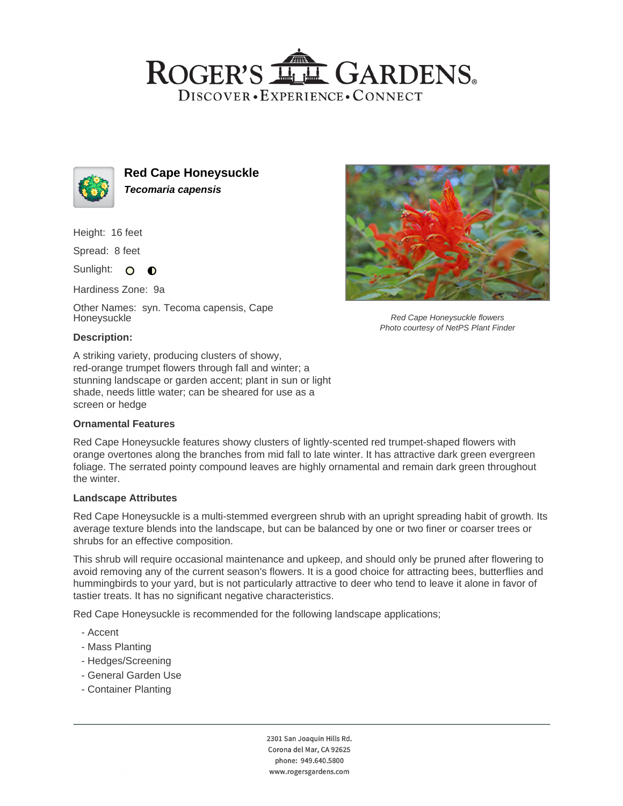## ROGER'S LL GARDENS. DISCOVER · EXPERIENCE · CONNECT



**Red Cape Honeysuckle Tecomaria capensis**

Height: 16 feet

Spread: 8 feet

Sunlight: O  $\bullet$ 

Hardiness Zone: 9a

Other Names: syn. Tecoma capensis, Cape Honeysuckle



Red Cape Honeysuckle flowers Photo courtesy of NetPS Plant Finder

### **Description:**

A striking variety, producing clusters of showy, red-orange trumpet flowers through fall and winter; a stunning landscape or garden accent; plant in sun or light shade, needs little water; can be sheared for use as a screen or hedge

#### **Ornamental Features**

Red Cape Honeysuckle features showy clusters of lightly-scented red trumpet-shaped flowers with orange overtones along the branches from mid fall to late winter. It has attractive dark green evergreen foliage. The serrated pointy compound leaves are highly ornamental and remain dark green throughout the winter.

#### **Landscape Attributes**

Red Cape Honeysuckle is a multi-stemmed evergreen shrub with an upright spreading habit of growth. Its average texture blends into the landscape, but can be balanced by one or two finer or coarser trees or shrubs for an effective composition.

This shrub will require occasional maintenance and upkeep, and should only be pruned after flowering to avoid removing any of the current season's flowers. It is a good choice for attracting bees, butterflies and hummingbirds to your yard, but is not particularly attractive to deer who tend to leave it alone in favor of tastier treats. It has no significant negative characteristics.

Red Cape Honeysuckle is recommended for the following landscape applications;

- Accent
- Mass Planting
- Hedges/Screening
- General Garden Use
- Container Planting

2301 San Joaquin Hills Rd. Corona del Mar, CA 92625 phone: 949.640.5800 www.rogersgardens.com